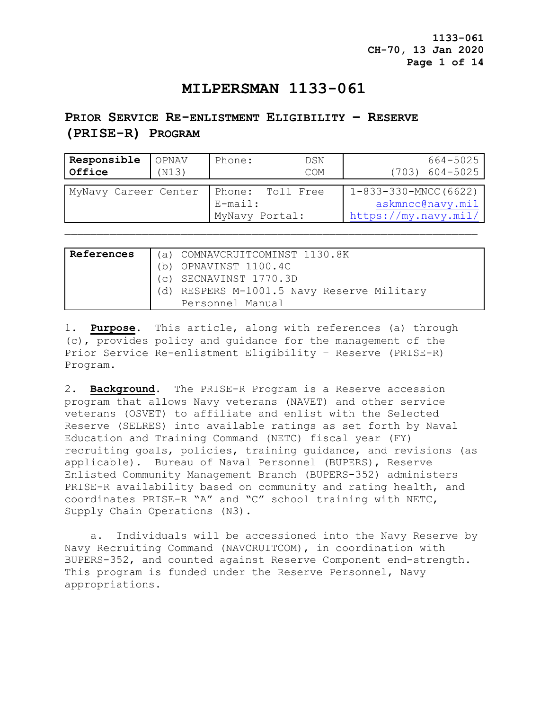**1133-061 CH-70, 13 Jan 2020 Page 1 of 14**

## **MILPERSMAN 1133-061**

# **PRIOR SERVICE RE-ENLISTMENT ELIGIBILITY – RESERVE (PRISE-R) PROGRAM**

| Responsible          | OPNAV | Phone:                                           | DSN | 664-5025                                                                 |
|----------------------|-------|--------------------------------------------------|-----|--------------------------------------------------------------------------|
| Office               | (N13) |                                                  | COM | $(703)$ 604-5025                                                         |
| MyNavy Career Center |       | Phone: Toll Free<br>$E$ -mail:<br>MyNavy Portal: |     | $1 - 833 - 330 - MNCC(6622)$<br>askmncc@navy.mil<br>https://my.navy.mil/ |

| References | (a) COMNAVCRUITCOMINST 1130.8K             |
|------------|--------------------------------------------|
|            | (b) OPNAVINST 1100.4C                      |
|            | (c) SECNAVINST 1770.3D                     |
|            | (d) RESPERS M-1001.5 Navy Reserve Military |
|            | Personnel Manual                           |

1. **Purpose.** This article, along with references (a) through (c), provides policy and guidance for the management of the Prior Service Re-enlistment Eligibility – Reserve (PRISE-R) Program.

2. **Background**. The PRISE-R Program is a Reserve accession program that allows Navy veterans (NAVET) and other service veterans (OSVET) to affiliate and enlist with the Selected Reserve (SELRES) into available ratings as set forth by Naval Education and Training Command (NETC) fiscal year (FY) recruiting goals, policies, training guidance, and revisions (as applicable). Bureau of Naval Personnel (BUPERS), Reserve Enlisted Community Management Branch (BUPERS-352) administers PRISE-R availability based on community and rating health, and coordinates PRISE-R "A" and "C" school training with NETC, Supply Chain Operations (N3).

 a. Individuals will be accessioned into the Navy Reserve by Navy Recruiting Command (NAVCRUITCOM), in coordination with BUPERS-352, and counted against Reserve Component end-strength. This program is funded under the Reserve Personnel, Navy appropriations.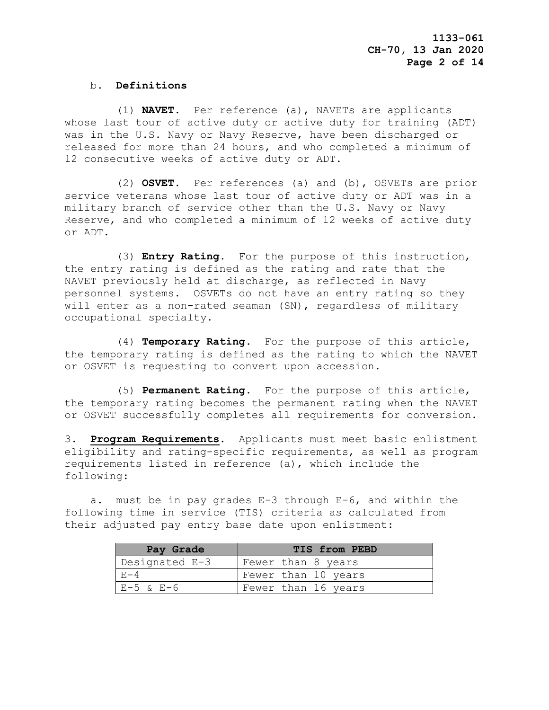## b. **Definitions**

 (1) **NAVET**. Per reference (a), NAVETs are applicants whose last tour of active duty or active duty for training (ADT) was in the U.S. Navy or Navy Reserve, have been discharged or released for more than 24 hours, and who completed a minimum of 12 consecutive weeks of active duty or ADT.

 (2) **OSVET**. Per references (a) and (b), OSVETs are prior service veterans whose last tour of active duty or ADT was in a military branch of service other than the U.S. Navy or Navy Reserve, and who completed a minimum of 12 weeks of active duty or ADT.

 (3) **Entry Rating**. For the purpose of this instruction, the entry rating is defined as the rating and rate that the NAVET previously held at discharge, as reflected in Navy personnel systems. OSVETs do not have an entry rating so they will enter as a non-rated seaman (SN), regardless of military occupational specialty.

 (4) **Temporary Rating**. For the purpose of this article, the temporary rating is defined as the rating to which the NAVET or OSVET is requesting to convert upon accession.

 (5) **Permanent Rating**. For the purpose of this article, the temporary rating becomes the permanent rating when the NAVET or OSVET successfully completes all requirements for conversion.

3. **Program Requirements**. Applicants must meet basic enlistment eligibility and rating-specific requirements, as well as program requirements listed in reference (a), which include the following:

 a. must be in pay grades E-3 through E-6, and within the following time in service (TIS) criteria as calculated from their adjusted pay entry base date upon enlistment:

| Pay Grade      | TIS from PEBD       |
|----------------|---------------------|
| Designated E-3 | Fewer than 8 years  |
| $F - 4$        | Fewer than 10 years |
| $E-5$ & $E-6$  | Fewer than 16 years |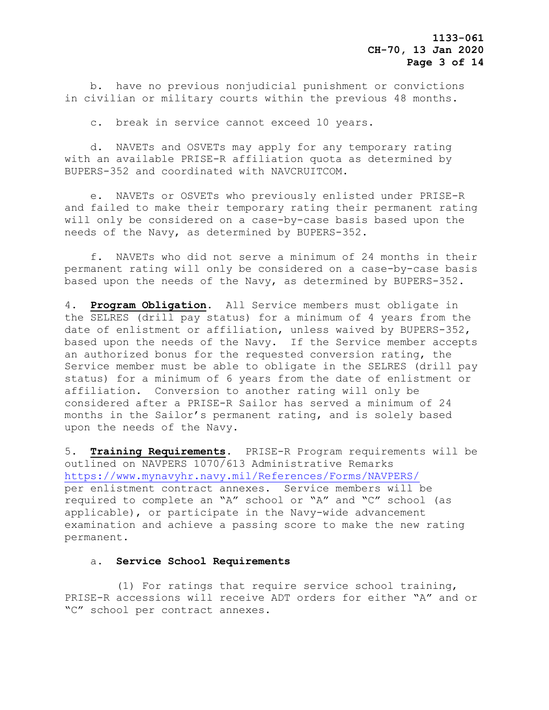b. have no previous nonjudicial punishment or convictions in civilian or military courts within the previous 48 months.

c. break in service cannot exceed 10 years.

 d. NAVETs and OSVETs may apply for any temporary rating with an available PRISE-R affiliation quota as determined by BUPERS-352 and coordinated with NAVCRUITCOM.

 e. NAVETs or OSVETs who previously enlisted under PRISE-R and failed to make their temporary rating their permanent rating will only be considered on a case-by-case basis based upon the needs of the Navy, as determined by BUPERS-352.

 f. NAVETs who did not serve a minimum of 24 months in their permanent rating will only be considered on a case-by-case basis based upon the needs of the Navy, as determined by BUPERS-352.

4. **Program Obligation.** All Service members must obligate in the SELRES (drill pay status) for a minimum of 4 years from the date of enlistment or affiliation, unless waived by BUPERS-352, based upon the needs of the Navy. If the Service member accepts an authorized bonus for the requested conversion rating, the Service member must be able to obligate in the SELRES (drill pay status) for a minimum of 6 years from the date of enlistment or affiliation. Conversion to another rating will only be considered after a PRISE-R Sailor has served a minimum of 24 months in the Sailor's permanent rating, and is solely based upon the needs of the Navy.

5. **Training Requirements**. PRISE-R Program requirements will be outlined on NAVPERS 1070/613 Administrative Remarks <https://www.mynavyhr.navy.mil/References/Forms/NAVPERS/> per enlistment contract annexes. Service members will be required to complete an "A" school or "A" and "C" school (as applicable), or participate in the Navy-wide advancement examination and achieve a passing score to make the new rating permanent.

### a. **Service School Requirements**

 (1) For ratings that require service school training, PRISE-R accessions will receive ADT orders for either "A" and or "C" school per contract annexes.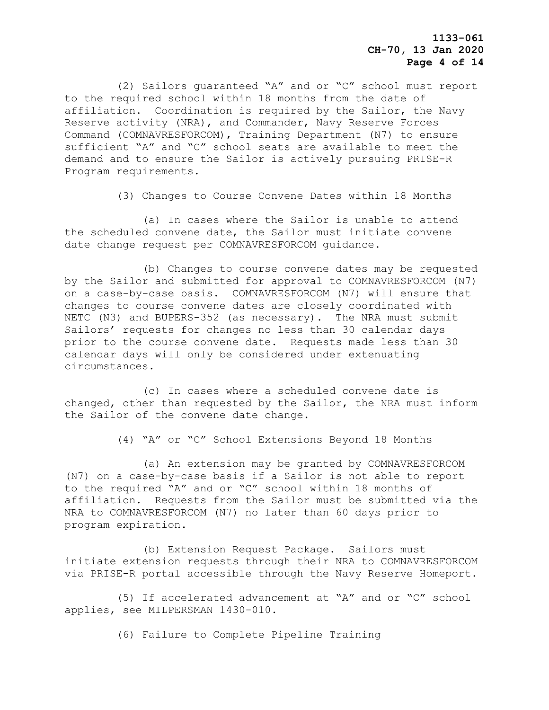**1133-061 CH-70, 13 Jan 2020 Page 4 of 14**

 (2) Sailors guaranteed "A" and or "C" school must report to the required school within 18 months from the date of affiliation. Coordination is required by the Sailor, the Navy Reserve activity (NRA), and Commander, Navy Reserve Forces Command (COMNAVRESFORCOM), Training Department (N7) to ensure sufficient "A" and "C" school seats are available to meet the demand and to ensure the Sailor is actively pursuing PRISE-R Program requirements.

(3) Changes to Course Convene Dates within 18 Months

 (a) In cases where the Sailor is unable to attend the scheduled convene date, the Sailor must initiate convene date change request per COMNAVRESFORCOM guidance.

 (b) Changes to course convene dates may be requested by the Sailor and submitted for approval to COMNAVRESFORCOM (N7) on a case-by-case basis. COMNAVRESFORCOM (N7) will ensure that changes to course convene dates are closely coordinated with NETC (N3) and BUPERS-352 (as necessary). The NRA must submit Sailors' requests for changes no less than 30 calendar days prior to the course convene date. Requests made less than 30 calendar days will only be considered under extenuating circumstances.

 (c) In cases where a scheduled convene date is changed, other than requested by the Sailor, the NRA must inform the Sailor of the convene date change.

(4) "A" or "C" School Extensions Beyond 18 Months

 (a) An extension may be granted by COMNAVRESFORCOM (N7) on a case-by-case basis if a Sailor is not able to report to the required "A" and or "C" school within 18 months of affiliation. Requests from the Sailor must be submitted via the NRA to COMNAVRESFORCOM (N7) no later than 60 days prior to program expiration.

 (b) Extension Request Package. Sailors must initiate extension requests through their NRA to COMNAVRESFORCOM via PRISE-R portal accessible through the Navy Reserve Homeport.

 (5) If accelerated advancement at "A" and or "C" school applies, see MILPERSMAN 1430-010.

(6) Failure to Complete Pipeline Training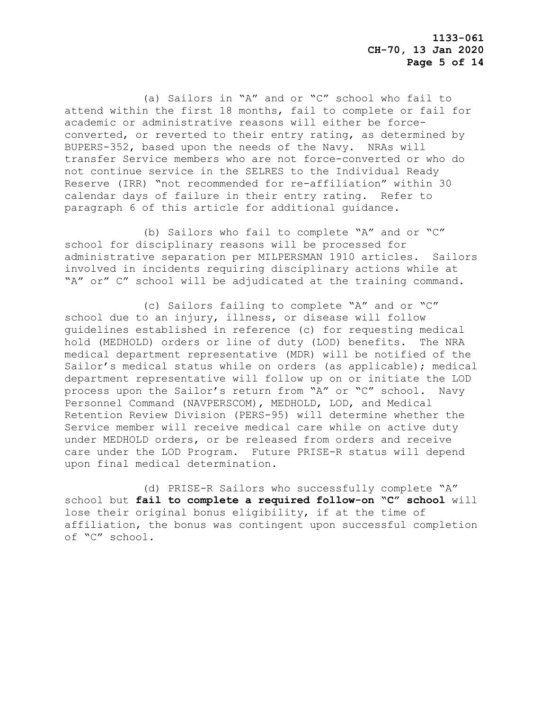(a) Sailors in "A" and or "C" school who fail to attend within the first 18 months, fail to complete or fail for academic or administrative reasons will either be forceconverted, or reverted to their entry rating, as determined by BUPERS-352, based upon the needs of the Navy. NRAs will transfer Service members who are not force-converted or who do not continue service in the SELRES to the Individual Ready Reserve (IRR) "not recommended for re-affiliation" within 30 calendar days of failure in their entry rating. Refer to paragraph 6 of this article for additional guidance.

 (b) Sailors who fail to complete "A" and or "C" school for disciplinary reasons will be processed for administrative separation per MILPERSMAN 1910 articles. Sailors involved in incidents requiring disciplinary actions while at "A" or" C" school will be adjudicated at the training command.

 (c) Sailors failing to complete "A" and or "C" school due to an injury, illness, or disease will follow guidelines established in reference (c) for requesting medical hold (MEDHOLD) orders or line of duty (LOD) benefits. The NRA medical department representative (MDR) will be notified of the Sailor's medical status while on orders (as applicable); medical department representative will follow up on or initiate the LOD process upon the Sailor's return from "A" or "C" school. Navy Personnel Command (NAVPERSCOM), MEDHOLD, LOD, and Medical Retention Review Division (PERS-95) will determine whether the Service member will receive medical care while on active duty under MEDHOLD orders, or be released from orders and receive care under the LOD Program. Future PRISE-R status will depend upon final medical determination.

 (d) PRISE-R Sailors who successfully complete "A" school but **fail to complete a required follow-on "C" school** will lose their original bonus eligibility, if at the time of affiliation, the bonus was contingent upon successful completion of "C" school.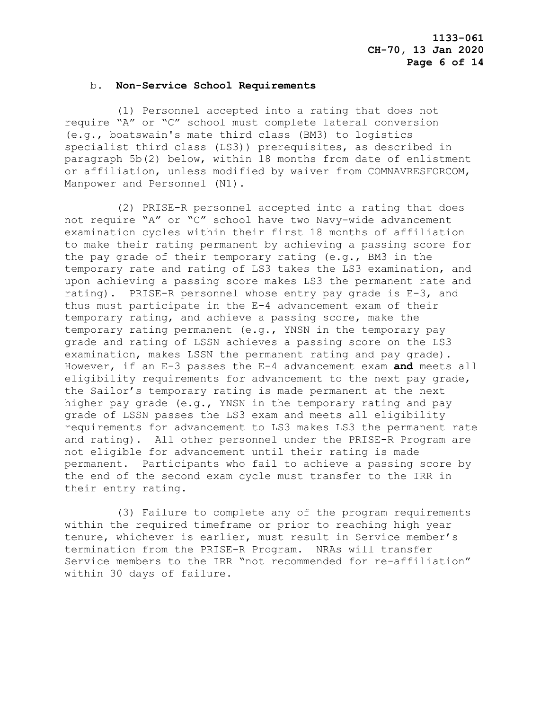#### b. **Non-Service School Requirements**

 (1) Personnel accepted into a rating that does not require "A" or "C" school must complete lateral conversion (e.g., boatswain's mate third class (BM3) to logistics specialist third class (LS3)) prerequisites, as described in paragraph 5b(2) below, within 18 months from date of enlistment or affiliation, unless modified by waiver from COMNAVRESFORCOM, Manpower and Personnel (N1).

 (2) PRISE-R personnel accepted into a rating that does not require "A" or "C" school have two Navy-wide advancement examination cycles within their first 18 months of affiliation to make their rating permanent by achieving a passing score for the pay grade of their temporary rating (e.g., BM3 in the temporary rate and rating of LS3 takes the LS3 examination, and upon achieving a passing score makes LS3 the permanent rate and rating). PRISE-R personnel whose entry pay grade is E-3, and thus must participate in the E-4 advancement exam of their temporary rating, and achieve a passing score, make the temporary rating permanent (e.g., YNSN in the temporary pay grade and rating of LSSN achieves a passing score on the LS3 examination, makes LSSN the permanent rating and pay grade). However, if an E-3 passes the E-4 advancement exam **and** meets all eligibility requirements for advancement to the next pay grade, the Sailor's temporary rating is made permanent at the next higher pay grade (e.g., YNSN in the temporary rating and pay grade of LSSN passes the LS3 exam and meets all eligibility requirements for advancement to LS3 makes LS3 the permanent rate and rating). All other personnel under the PRISE-R Program are not eligible for advancement until their rating is made permanent. Participants who fail to achieve a passing score by the end of the second exam cycle must transfer to the IRR in their entry rating.

 (3) Failure to complete any of the program requirements within the required timeframe or prior to reaching high year tenure, whichever is earlier, must result in Service member's termination from the PRISE-R Program. NRAs will transfer Service members to the IRR "not recommended for re-affiliation" within 30 days of failure.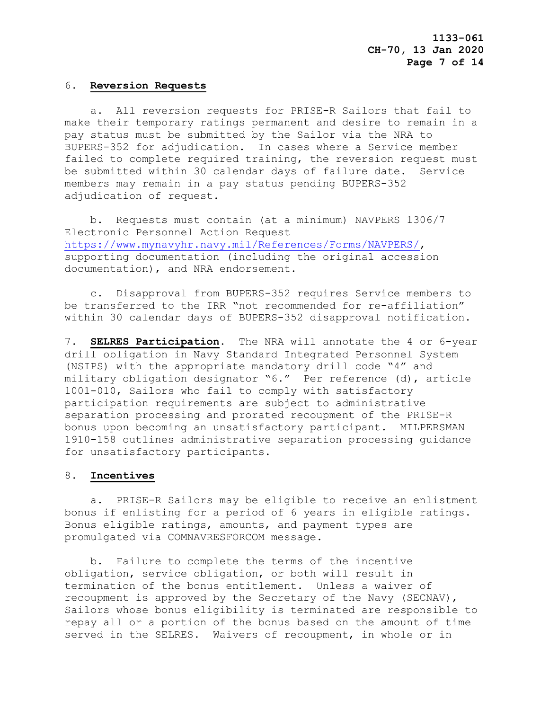### 6. **Reversion Requests**

 a. All reversion requests for PRISE-R Sailors that fail to make their temporary ratings permanent and desire to remain in a pay status must be submitted by the Sailor via the NRA to BUPERS-352 for adjudication. In cases where a Service member failed to complete required training, the reversion request must be submitted within 30 calendar days of failure date. Service members may remain in a pay status pending BUPERS-352 adjudication of request.

 b. Requests must contain (at a minimum) NAVPERS 1306/7 Electronic Personnel Action Request [https://www.mynavyhr.navy.mil/References/Forms/NAVPERS/,](https://www.mynavyhr.navy.mil/References/Forms/NAVPERS/) supporting documentation (including the original accession documentation), and NRA endorsement.

 c. Disapproval from BUPERS-352 requires Service members to be transferred to the IRR "not recommended for re-affiliation" within 30 calendar days of BUPERS-352 disapproval notification.

7. **SELRES Participation.** The NRA will annotate the 4 or 6-year drill obligation in Navy Standard Integrated Personnel System (NSIPS) with the appropriate mandatory drill code "4" and military obligation designator "6." Per reference (d), article 1001-010, Sailors who fail to comply with satisfactory participation requirements are subject to administrative separation processing and prorated recoupment of the PRISE-R bonus upon becoming an unsatisfactory participant. MILPERSMAN 1910-158 outlines administrative separation processing guidance for unsatisfactory participants.

## 8. **Incentives**

 a. PRISE-R Sailors may be eligible to receive an enlistment bonus if enlisting for a period of 6 years in eligible ratings. Bonus eligible ratings, amounts, and payment types are promulgated via COMNAVRESFORCOM message.

 b. Failure to complete the terms of the incentive obligation, service obligation, or both will result in termination of the bonus entitlement. Unless a waiver of recoupment is approved by the Secretary of the Navy (SECNAV), Sailors whose bonus eligibility is terminated are responsible to repay all or a portion of the bonus based on the amount of time served in the SELRES. Waivers of recoupment, in whole or in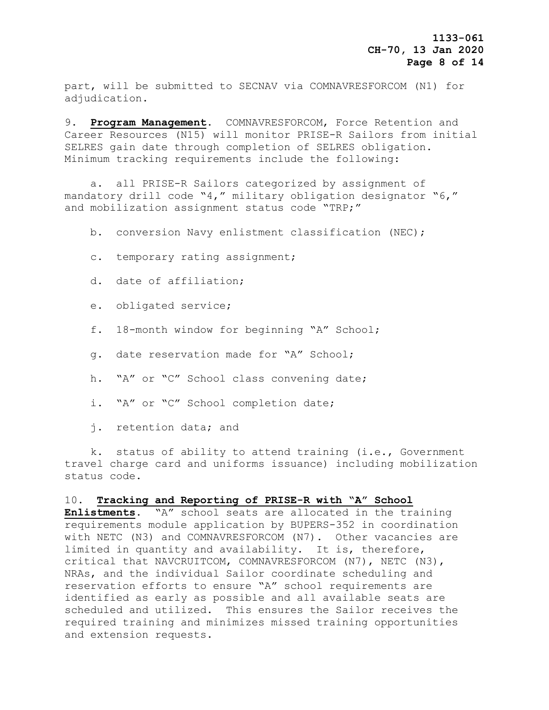part, will be submitted to SECNAV via COMNAVRESFORCOM (N1) for adjudication.

9. **Program Management.** COMNAVRESFORCOM, Force Retention and Career Resources (N15) will monitor PRISE-R Sailors from initial SELRES gain date through completion of SELRES obligation. Minimum tracking requirements include the following:

 a. all PRISE-R Sailors categorized by assignment of mandatory drill code "4," military obligation designator "6," and mobilization assignment status code "TRP;"

b. conversion Navy enlistment classification (NEC);

- c. temporary rating assignment;
- d. date of affiliation;
- e. obligated service;
- f. 18-month window for beginning "A" School;
- g. date reservation made for "A" School;
- h. "A" or "C" School class convening date;
- i. "A" or "C" School completion date;
- j. retention data; and

 k. status of ability to attend training (i.e., Government travel charge card and uniforms issuance) including mobilization status code.

## 10. **Tracking and Reporting of PRISE-R with "A" School**

**Enlistments**. "A" school seats are allocated in the training requirements module application by BUPERS-352 in coordination with NETC (N3) and COMNAVRESFORCOM (N7). Other vacancies are limited in quantity and availability. It is, therefore, critical that NAVCRUITCOM, COMNAVRESFORCOM (N7), NETC (N3), NRAs, and the individual Sailor coordinate scheduling and reservation efforts to ensure "A" school requirements are identified as early as possible and all available seats are scheduled and utilized. This ensures the Sailor receives the required training and minimizes missed training opportunities and extension requests.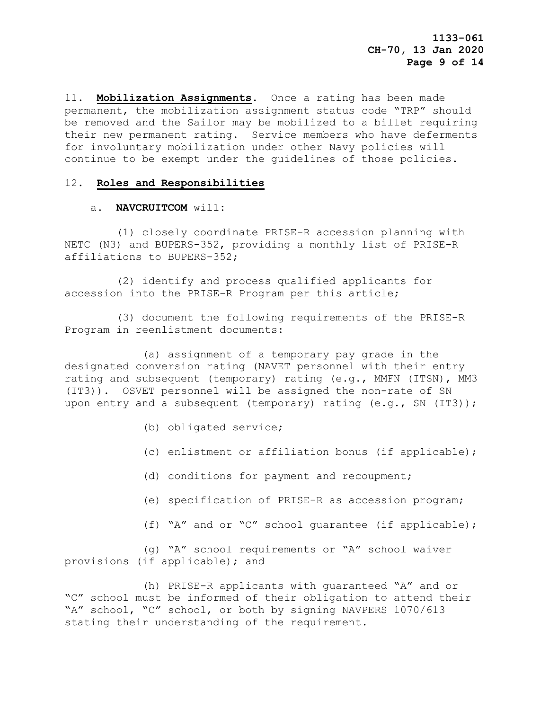11. **Mobilization Assignments.** Once a rating has been made permanent, the mobilization assignment status code "TRP" should be removed and the Sailor may be mobilized to a billet requiring their new permanent rating. Service members who have deferments for involuntary mobilization under other Navy policies will continue to be exempt under the guidelines of those policies.

## 12. **Roles and Responsibilities**

## a. **NAVCRUITCOM** will**:**

 (1) closely coordinate PRISE-R accession planning with NETC (N3) and BUPERS-352, providing a monthly list of PRISE-R affiliations to BUPERS-352;

 (2) identify and process qualified applicants for accession into the PRISE-R Program per this article;

 (3) document the following requirements of the PRISE-R Program in reenlistment documents:

 (a) assignment of a temporary pay grade in the designated conversion rating (NAVET personnel with their entry rating and subsequent (temporary) rating (e.g., MMFN (ITSN), MM3 (IT3)). OSVET personnel will be assigned the non-rate of SN upon entry and a subsequent (temporary) rating  $(e.g., SN (IT3))$ ;

- (b) obligated service;
- (c) enlistment or affiliation bonus (if applicable);
- (d) conditions for payment and recoupment;
- (e) specification of PRISE-R as accession program;
- (f) "A" and or "C" school guarantee (if applicable);

 (g) "A" school requirements or "A" school waiver provisions (if applicable); and

 (h) PRISE-R applicants with guaranteed "A" and or "C" school must be informed of their obligation to attend their "A" school, "C" school, or both by signing NAVPERS 1070/613 stating their understanding of the requirement.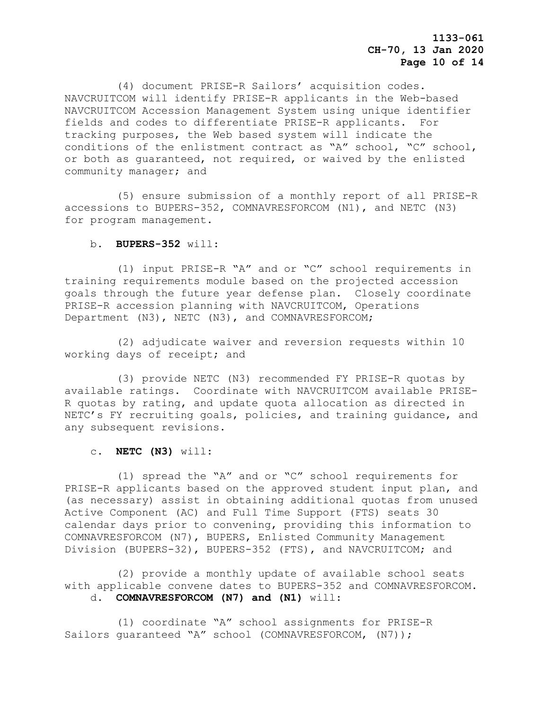**1133-061 CH-70, 13 Jan 2020 Page 10 of 14**

 (4) document PRISE-R Sailors' acquisition codes. NAVCRUITCOM will identify PRISE-R applicants in the Web-based NAVCRUITCOM Accession Management System using unique identifier fields and codes to differentiate PRISE-R applicants. For tracking purposes, the Web based system will indicate the conditions of the enlistment contract as "A" school, "C" school, or both as guaranteed, not required, or waived by the enlisted community manager; and

 (5) ensure submission of a monthly report of all PRISE-R accessions to BUPERS-352, COMNAVRESFORCOM (N1), and NETC (N3) for program management.

#### b. **BUPERS-352** will:

 (1) input PRISE-R "A" and or "C" school requirements in training requirements module based on the projected accession goals through the future year defense plan. Closely coordinate PRISE-R accession planning with NAVCRUITCOM, Operations Department (N3), NETC (N3), and COMNAVRESFORCOM;

 (2) adjudicate waiver and reversion requests within 10 working days of receipt; and

 (3) provide NETC (N3) recommended FY PRISE-R quotas by available ratings. Coordinate with NAVCRUITCOM available PRISE-R quotas by rating, and update quota allocation as directed in NETC's FY recruiting goals, policies, and training guidance, and any subsequent revisions.

## c. **NETC (N3)** will:

 (1) spread the "A" and or "C" school requirements for PRISE-R applicants based on the approved student input plan, and (as necessary) assist in obtaining additional quotas from unused Active Component (AC) and Full Time Support (FTS) seats 30 calendar days prior to convening, providing this information to COMNAVRESFORCOM (N7), BUPERS, Enlisted Community Management Division (BUPERS-32), BUPERS-352 (FTS), and NAVCRUITCOM; and

 (2) provide a monthly update of available school seats with applicable convene dates to BUPERS-352 and COMNAVRESFORCOM. d. **COMNAVRESFORCOM (N7) and (N1)** will:

 (1) coordinate "A" school assignments for PRISE-R Sailors guaranteed "A" school (COMNAVRESFORCOM, (N7));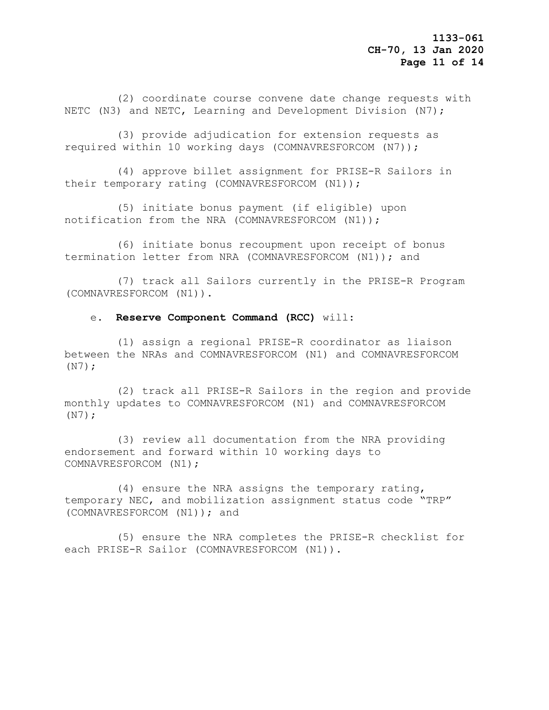(2) coordinate course convene date change requests with NETC (N3) and NETC, Learning and Development Division (N7);

 (3) provide adjudication for extension requests as required within 10 working days (COMNAVRESFORCOM (N7));

 (4) approve billet assignment for PRISE-R Sailors in their temporary rating (COMNAVRESFORCOM (N1));

 (5) initiate bonus payment (if eligible) upon notification from the NRA (COMNAVRESFORCOM (N1));

 (6) initiate bonus recoupment upon receipt of bonus termination letter from NRA (COMNAVRESFORCOM (N1)); and

 (7) track all Sailors currently in the PRISE-R Program (COMNAVRESFORCOM (N1)).

## e. **Reserve Component Command (RCC)** will:

 (1) assign a regional PRISE-R coordinator as liaison between the NRAs and COMNAVRESFORCOM (N1) and COMNAVRESFORCOM (N7);

 (2) track all PRISE-R Sailors in the region and provide monthly updates to COMNAVRESFORCOM (N1) and COMNAVRESFORCOM (N7);

 (3) review all documentation from the NRA providing endorsement and forward within 10 working days to COMNAVRESFORCOM (N1);

 (4) ensure the NRA assigns the temporary rating, temporary NEC, and mobilization assignment status code "TRP" (COMNAVRESFORCOM (N1)); and

 (5) ensure the NRA completes the PRISE-R checklist for each PRISE-R Sailor (COMNAVRESFORCOM (N1)).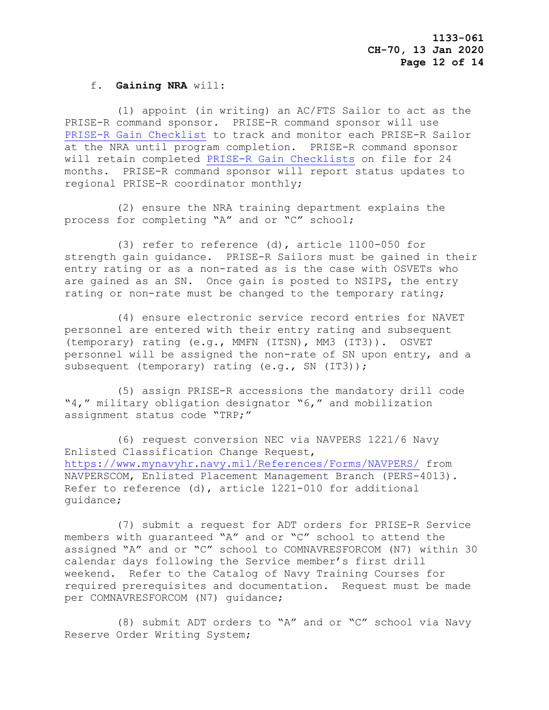## f. **Gaining NRA** will:

 (1) appoint (in writing) an AC/FTS Sailor to act as the PRISE-R command sponsor. PRISE-R command sponsor will use [PRISE-R Gain Checklist](https://private.navyreserve.navy.mil/cnrfc/N-Codes/N1/cnrfc_N15/N151/PRISER/PRISE-R%20Gain%20%20Sponsor%20checklist%20final.pdf) to track and monitor each PRISE-R Sailor at the NRA until program completion. PRISE-R command sponsor will retain completed [PRISE-R Gain Checklists](https://private.navyreserve.navy.mil/cnrfc/N-Codes/N1/cnrfc_N15/N151/PRISER/PRISE-R%20Gain%20%20Sponsor%20checklist%20final.pdf) on file for 24 months. PRISE-R command sponsor will report status updates to regional PRISE-R coordinator monthly;

 (2) ensure the NRA training department explains the process for completing "A" and or "C" school;

 (3) refer to reference (d), article 1100-050 for strength gain guidance. PRISE-R Sailors must be gained in their entry rating or as a non-rated as is the case with OSVETs who are gained as an SN. Once gain is posted to NSIPS, the entry rating or non-rate must be changed to the temporary rating;

 (4) ensure electronic service record entries for NAVET personnel are entered with their entry rating and subsequent (temporary) rating (e.g., MMFN (ITSN), MM3 (IT3)). OSVET personnel will be assigned the non-rate of SN upon entry, and a subsequent (temporary) rating (e.g., SN (IT3));

 (5) assign PRISE-R accessions the mandatory drill code "4," military obligation designator "6," and mobilization assignment status code "TRP;"

 (6) request conversion NEC via NAVPERS 1221/6 Navy Enlisted Classification Change Request, <https://www.mynavyhr.navy.mil/References/Forms/NAVPERS/> from NAVPERSCOM, Enlisted Placement Management Branch (PERS-4013). Refer to reference (d), article 1221-010 for additional guidance;

 (7) submit a request for ADT orders for PRISE-R Service members with guaranteed "A" and or "C" school to attend the assigned "A" and or "C" school to COMNAVRESFORCOM (N7) within 30 calendar days following the Service member's first drill weekend. Refer to the Catalog of Navy Training Courses for required prerequisites and documentation. Request must be made per COMNAVRESFORCOM (N7) guidance;

 (8) submit ADT orders to "A" and or "C" school via Navy Reserve Order Writing System;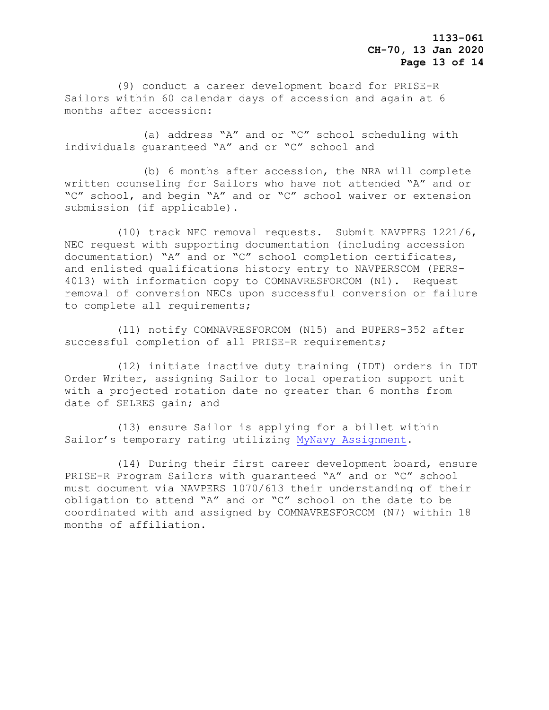(9) conduct a career development board for PRISE-R Sailors within 60 calendar days of accession and again at 6 months after accession:

 (a) address "A" and or "C" school scheduling with individuals guaranteed "A" and or "C" school and

 (b) 6 months after accession, the NRA will complete written counseling for Sailors who have not attended "A" and or "C" school, and begin "A" and or "C" school waiver or extension submission (if applicable).

 (10) track NEC removal requests. Submit NAVPERS 1221/6, NEC request with supporting documentation (including accession documentation) "A" and or "C" school completion certificates, and enlisted qualifications history entry to NAVPERSCOM (PERS-4013) with information copy to COMNAVRESFORCOM (N1). Request removal of conversion NECs upon successful conversion or failure to complete all requirements;

 (11) notify COMNAVRESFORCOM (N15) and BUPERS-352 after successful completion of all PRISE-R requirements;

 (12) initiate inactive duty training (IDT) orders in IDT Order Writer, assigning Sailor to local operation support unit with a projected rotation date no greater than 6 months from date of SELRES gain; and

 (13) ensure Sailor is applying for a billet within Sailor's temporary rating utilizing [MyNavy Assignment.](https://my.navy.mil/)

 (14) During their first career development board, ensure PRISE-R Program Sailors with guaranteed "A" and or "C" school must document via NAVPERS 1070/613 their understanding of their obligation to attend "A" and or "C" school on the date to be coordinated with and assigned by COMNAVRESFORCOM (N7) within 18 months of affiliation.